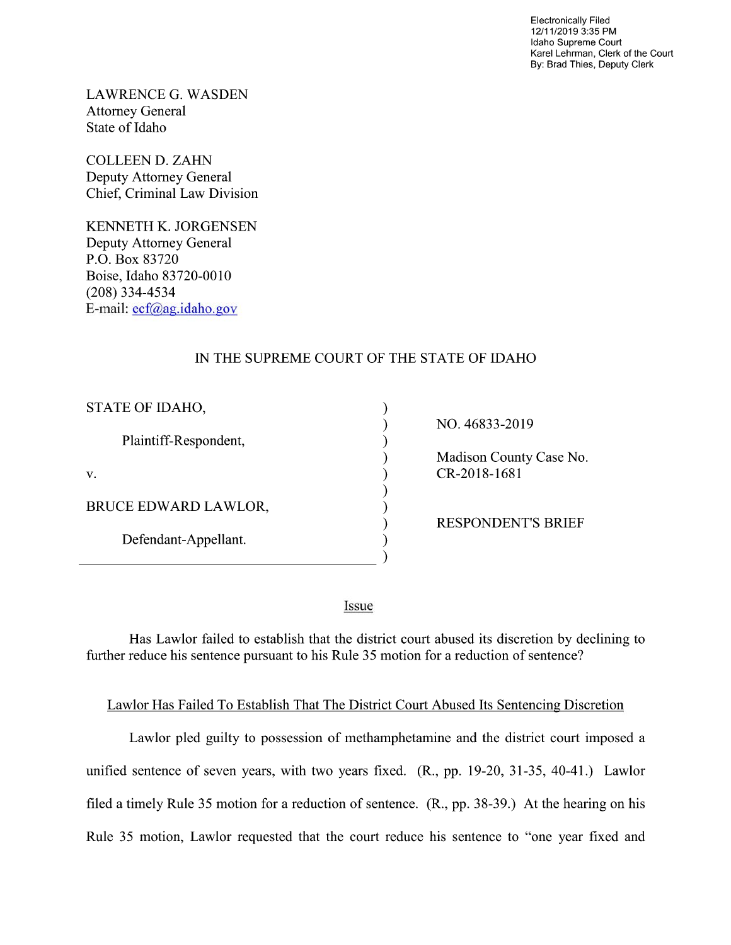Electronically Filed 12/1 1/2019 3:35 PM Idaho Supreme Court Karel Lehrman, Clerk of the Court By: Brad Thies, Deputy Clerk

LAWRENCE G. WASDEN Attorney General State of Idaho

COLLEEN D. ZAHN Deputy Attorney General Chief, Criminal Law Division

KENNETH K. JORGENSEN Deputy Attorney General P.O. Box 83720 Boise, Idaho 83720-0010 (208) 334—4534 E—mail: ecf@ag.idaho.gov

## IN THE SUPREME COURT OF THE STATE OF IDAHO

⟩

 $\lambda$  $\mathcal{E}$ 

€  $\mathcal{E}$ 

 $\lambda$ 

| STATE OF IDAHO,       |
|-----------------------|
| Plaintiff-Respondent, |
| V.                    |
| BRUCE EDWARD LAWLOR,  |
| Defendant-Appellant.  |

NO. 46833-2019

Madison County Case No. CR-2018-1681

RESPONDENT'S BRIEF

Issue

Has Lawlor failed to establish that the district court abused its discretion by declining to further reduce his sentence pursuant to his Rule 35 motion for a reduction of sentence?

## Lawlor Has Failed To Establish That The District Court Abused Its Sentencing Discretion

Lawlor pled guilty to possession of methamphetamine and the district court imposed a unified sentence of seven years, with two years fixed. (R., pp. 19—20, 31-35, 40—41.) Lawlor filed a timely Rule 35 motion for a reduction of sentence.  $(R., pp. 38-39.)$  At the hearing on his Rule 35 motion, Lawlor requested that the court reduce his sentence to "one year fixed and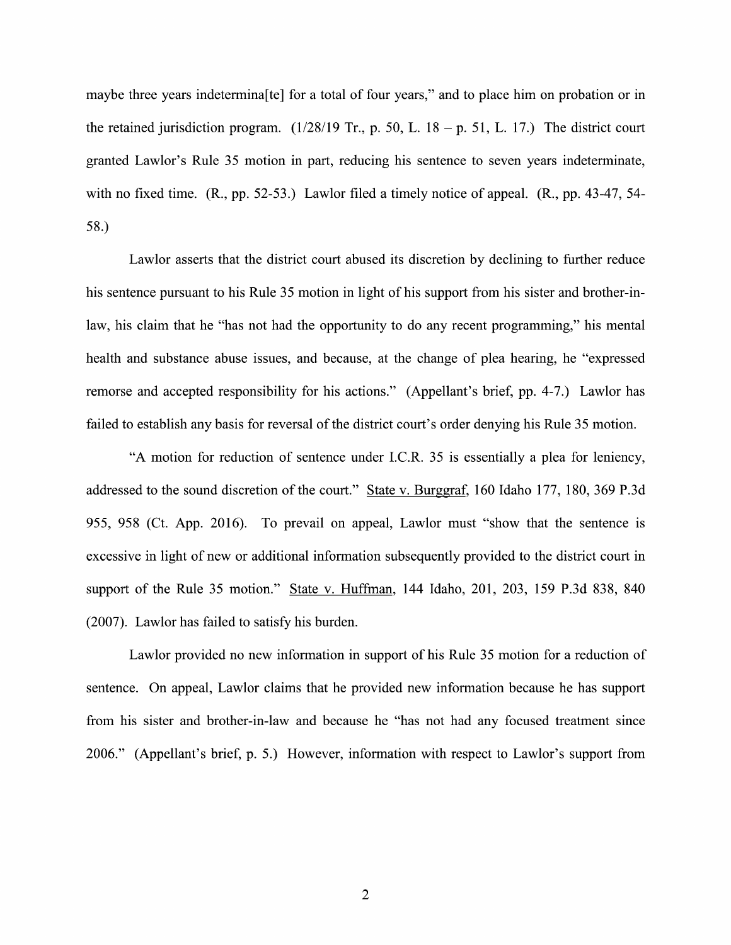maybe three years indetermina[te] for a total of four years," and to place him on probation or in the retained jurisdiction program.  $(1/28/19 \text{ Tr.}, p. 50, L. 18 - p. 51, L. 17.)$  The district court granted Lawlor's Rule 35 motion in part, reducing his sentence to seven years indeterminate, with no fixed time.  $(R_{.}, pp. 52-53.)$  Lawlor filed a timely notice of appeal.  $(R_{.}, pp. 43-47, 54-$ 58.)

Lawlor asserts that the district court abused its discretion by declining t0 further reduce his sentence pursuant to his Rule 35 motion in light of his support from his sister and brother-inlaw, his claim that he "has not had the opportunity to do any recent programming," his mental health and substance abuse issues, and because, at the change of plea hearing, he "expressed remorse and accepted responsibility for his actions." (Appellant's brief, pp. 4-7.) Lawlor has failed to establish any basis for reversal of the district court's order denying his Rule 35 motion.

"A motion for reduction of sentence under I.C.R. 35 is essentially a plea for leniency, addressed to the sound discretion of the court." State V. Burggraf, 160 Idaho 177, 180, 369 P.3d 955, 958 (Ct. App. 2016). To prevail 0n appeal, Lawlor must "show that the sentence is excessive in light of new or additional information subsequently provided to the district court in support of the Rule 35 motion." State v. Huffman, 144 Idaho, 201, 203, 159 P.3d 838, 840 (2007). Lawlor has failed to satisfy his burden.

Lawlor provided no new information in support of his Rule 35 motion for a reduction of sentence. On appeal, Lawlor claims that he provided new information because he has support from his sister and brother-in-law and because he "has not had any focused treatment since 2006." (Appellant's brief, p. 5.) However, information With respect to Lawlor's support from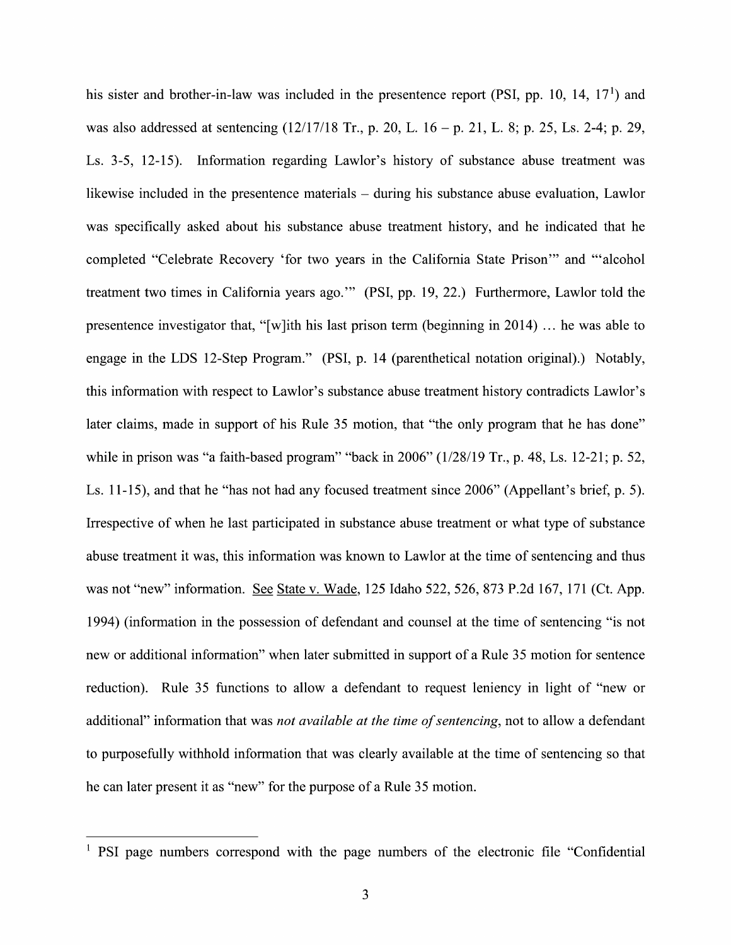his sister and brother-in-law was included in the presentence report (PSI, pp. 10, 14,  $17<sup>1</sup>$ ) and was also addressed at sentencing  $(12/17/18 \text{ Tr.}, p. 20, L. 16 - p. 21, L. 8; p. 25, Ls. 2-4; p. 29,$ Ls. 3-5, 12-15). Information regarding Lawlor's history 0f substance abuse treatment was likewise included in the presentence materials  $-$  during his substance abuse evaluation, Lawlor was specifically asked about his substance abuse treatment history, and he indicated that he completed "Celebrate Recovery 'for two years in the California State Prison'" and "'alcohol treatment two times in California years ago."' (PSI, pp. 19, 22.) Furthermore, Lawlor told the presentence investigator that, "[w]ith his last prison term (beginning in  $2014$ ) ... he was able to engage in the LDS 12-Step Program." (PSI, p. 14 (parenthetical notation 0riginal).) Notably, this information with respect t0 Lawlor's substance abuse treatment history contradicts Lawlor's later claims, made in support of his Rule 35 motion, that "the only program that he has done" While in prison was "a faith-based program" "back in 2006" (1/28/19 Tr., p. 48, Ls. 12-21; p. 52, Ls. 11-15), and that he "has not had any focused treatment since 2006" (Appellant's brief, p. 5). Irrespective 0f When he last participated in substance abuse treatment 0r What type 0f substance abuse treatment it was, this information was known to Lawlor at the time of sentencing and thus was not "new" information. See State v. Wade, 125 Idaho 522, 526, 873 P.2d 167, 171 (Ct. App. 1994) (information in the possession 0f defendant and counsel at the time of sentencing "is not new or additional information" when later submitted in support of a Rule 35 motion for sentence reduction). Rule 35 functions to allow a defendant to request leniency in light of "new or additional" information that was *not available at the time of sentencing*, not to allow a defendant to purposefully withhold information that was clearly available at the time of sentencing so that he can later present it as "new" for the purpose of a Rule 35 motion.

 $<sup>1</sup>$  PSI page numbers correspond with the page numbers of the electronic file "Confidential"</sup>